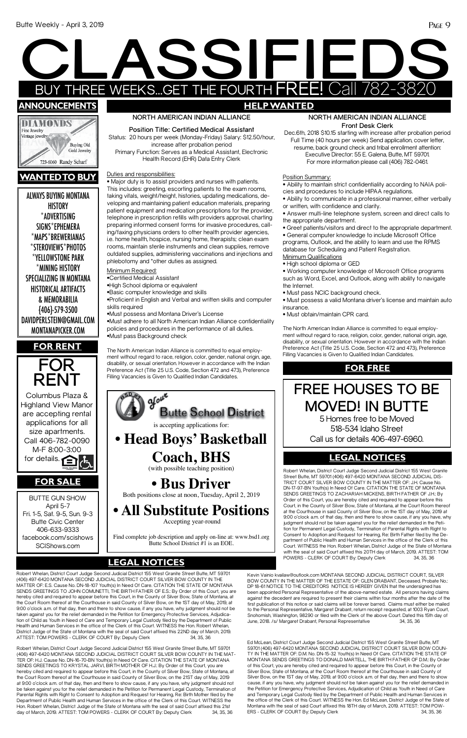ALWAYS BUYING MONTANA **HISTORY** \*ADVERTISING SIGNS\*EPHEMERA \*MAPS\*BREWERIANAS \*STEROVIEWS\*PHOTOS \*YELLOWSTONE PARK \*MINING HISTORY SPECIALIZING IN MONTANA HISTORICAL ARTIFACTS & MEMORABILIA {406}-579-3500 DAVIDPERLSTEIN@GMAIL.COM MONTANAPICKER.COM

# EXPRESS<sub>12019</sub> BUY THREE WEEKS...GET THE FOURTH FREE! Call 782-3820 **SSIFIE announcements HELP WANTED**



# **wantedto buy**





#### **NORTH AMERICAN INDIAN ALLIANCE Front Desk Clerk**

Dec.6th, 2018 \$10.15 starting with increase after probation period Full Time (40 hours per week) Send application, cover letter, resume, back ground check and tribal enrollment attention: Executive Director: 55 E. Galena, Butte, MT 59701. For more information please call (406) 782-0461.

Position Summary:

• Ability to maintain strict confidentiality according to NAIA policies and procedures to include HIPAA regulations.

- Ability to communicate in a professional manner, either verbally or written, with confidence and clarity.
- Answer multi-line telephone system, screen and direct calls to the appropriate department.
- Greet patients/visitors and direct to the appropriate department.

• General computer knowledge to include Microsoft Office programs, Outlook, and the ability to learn and use the RPMS database for Scheduling and Patient Registration.

- Minimum Qualifications
- High school diploma or GED

• Working computer knowledge of Microsoft Office programs such as Word, Excel, and Outlook, along with ability to navigate the Internet.

- Must pass NCIC background check.
- Must possess a valid Montana driver's license and maintain auto insurance.
- Must obtain/maintain CPR card.

The North American Indian Alliance is committed to equal employment without regard to race, religion, color, gender, national origin, age, disability, or sexual orientation. However in accordance with the Indian Preference Act (Title 25 U.S. Code, Section 472 and 473), Preference Filling Vacancies is Given to Qualified Indian Candidates.

### **NORTH AMERICAN INDIAN ALLIANCE**

**Position Title: Certified Medical Assistant** Status: 20 hours per week (Monday-Friday) Salary: \$12.50/hour, increase after probation period Primary Function: Serves as a Medical Assistant, Electronic Health Record (EHR) Data Entry Clerk

Duties and responsibilities:

#### Court. WITNESS the Hon. Robert Whelan, District Judge of the State of Montana with the seal of said Court affixed this 20TH day of March, 2019. ATTEST: TOM<br>POWERS - CLERK OF COURT By: Deputy Clerk 34, 35, 36 **LEGAL NOTICES** POWERS - CLERK OF COURT By: Deputy Clerk 34, 35, 36 **LEGAL NOTICES**

• Major duty is to assist providers and nurses with patients. This includes: greeting, escorting patients to the exam rooms, taking vitals, weight/height, histories, updating medications, developing and maintaining patient education materials, preparing patient equipment and medication prescriptions for the provider, telephone in prescription refills with providers approval, charting preparing informed consent forms for invasive procedures, calling/faxing physicians orders to other health provider agencies, i.e. home health, hospice, nursing home, therapists; clean exam rooms, maintain sterile instruments and clean supplies, remove outdated supplies, administering vaccinations and injections and phlebotomy and \*other duties as assigned.

Minimum Required:

Robert Whelan, District Court Judge Second Judicial District 155 West Granite Street Butte, MT 59701 (406) 497-6420 MONTANA SECOND JUDICIAL DISTRICT COURT SILVER BOW COUNTY IN THE MAT-TER OF: H.J. Cause No. DN-16-70-BN Youth(s) In Need Of Care. CITATION THE STATE OF MONTANA SENDS GREETINGS TO KRYSTAL JARVI, BIRTH MOTHER OF H.J.: By Order of this Court, you are hereby cited and required to appear before this Court, in the County of Silver Bow, State of Montana, at the Court Room thereof at the Courthouse in said County of Silver Bow, on the 21ST day of May, 2019 at 9:00 o'clock a.m. of that day, then and there to show cause, if any you have, why judgment should not be taken against you for the relief demanded in the Petition for Permanent Legal Custody, Termination of Parental Rights with Right to Consent to Adoption and Request for Hearing, Re: Birth Mother filed by the Department of Public Health and Human Services in the office of the Clerk of this Court. WITNESS the Hon. Robert Whelan, District Judge of the State of Montana with the seal of said Court affixed this 21st day of March, 2019. ATTEST: TOM POWERS - CLERK OF COURT By: Deputy Clerk 34, 35, 36

•Certified Medical Assistant

•High School diploma or equivalent

•Basic computer knowledge and skills

•Proficient in English and Verbal and written skills and computer skills required

•Must possess and Montana Driver's License

•Must adhere to all North American Indian Alliance confidentiality policies and procedures in the performance of all duties. •Must pass Background check

The North American Indian Alliance is committed to equal employment without regard to race, religion, color, gender, national origin, age, disability, or sexual orientation. However in accordance with the Indian Preference Act (Title 25 U.S. Code, Section 472 and 473), Preference Filling Vacancies is Given to Qualified Indian Candidates.

Robert Whelan, District Court Judge Second Judicial District 155 West Granite Street Butte, MT 59701 (406) 497-6420 MONTANA SECOND JUDICIAL DISTRICT COURT SILVER BOW COUNTY IN THE MATTER OF: E.S. Cause No. DN-18-107 Youth(s) In Need Of Care. CITATION THE STATE OF MONTANA SENDS GREETINGS TO JOHN COMUNETTI, THE BIRTH FATHER OF E.S.: By Order of this Court, you are hereby cited and required to appear before this Court, in the County of Silver Bow, State of Montana, at the Court Room thereof at the Courthouse in said County of Silver Bow, on the 1ST day of May, 2019, at 9:00 o'clock a.m. of that day, then and there to show cause, if any you have, why judgment should not be taken against you for the relief demanded in the Petition for Emergency Protective Services, Adjudication of Child as Youth in Need of Care and Temporary Legal Custody filed by the Department of Public Health and Human Services in the office of the Clerk of this Court. WITNESS the Hon. Robert Whelan, District Judge of the State of Montana with the seal of said Court affixed this 22ND day of March, 2019. ATTEST: TOM POWERS - CLERK OF COURT By: Deputy Clerk 34, 35, 36



Find complete job description and apply on-line at: www.bsd1.org

Butte School District #1 is an EOE.

## **FOR RENT**

# **FREE HOUSES TO BE MOVED! IN BUTTE**  5 Homes free to be Moved

518-534 Idaho Street Call us for details 406-497-6960.

## **FOR FREE**

Ed McLean, District Court Judge Second Judicial District 155 West Granite Street Butte, MT 59701 (406) 497-6420 MONTANA SECOND JUDICIAL DISTRICT COURT SILVER BOW COUN-TY IN THE MATTER OF: D.M. No. DN-15-32 Youth(s) In Need Of Care. CITATION THE STATE OF MONTANA SENDS GREETINGS TO DONALD MARTELL, THE BIRTH FATHER OF D.M.: By Order of this Court, you are hereby cited and required to appear before this Court, in the County of Silver Bow, State of Montana, at the Court Room thereof at the Courthouse in said County of Silver Bow, on the 1ST day of May, 2019, at 9:00 o'clock a.m. of that day, then and there to show cause, if any you have, why judgment should not be taken against you for the relief demanded in the Petition for Emergency Protective Services, Adjudication of Child as Youth in Need of Care and Temporary Legal Custody filed by the Department of Public Health and Human Services in the office of the Clerk of this Court. WITNESS the Hon. Ed McLean, District Judge of the State of Montana with the seal of said Court affixed this 18TH day of March, 2019. ATTEST: TOM POW-ERS - CLERK OF COURT By: Deputy Clerk 34, 35, 36

BUTTE GUN SHOW April 5-7 Fri. 1-5, Sat. 9-5, Sun. 9-3 Butte Civic Center 406-633-9333 facebook.com/scishows

# **FOR SALE**

# **LEGAL NOTICES**

Robert Whelan, District Court Judge Second Judicial District 155 West Granite Street Butte, MT 59701 (406) 497-6420 MONTANA SECOND JUDICIAL DIS-TRICT COURT SILVER BOW COUNTY IN THE MATTER OF: J.H. Cause No. DN-17-97-BN Youth(s) In Need Of Care. CITATION THE STATE OF MONTANA SENDS GREETINGS TO ZACHARIAH MICKENS, BIRTH FATHER OF J.H.: By Order of this Court, you are hereby cited and required to appear before this Court, in the County of Silver Bow, State of Montana, at the Court Room thereof at the Courthouse in said County of Silver Bow, on the 1ST day of May, 2019 at 9:00 o'clock a.m. of that day, then and there to show cause, if any you have, why judgment should not be taken against you for the relief demanded in the Petition for Permanent Legal Custody, Termination of Parental Rights with Right to Consent to Adoption and Request for Hearing, Re: Birth Father filed by the Department of Public Health and Human Services in the office of the Clerk of this

Kevin Vainio kvailaw@outlook.com MONTANA SECOND JUDICIAL DISTRICT COURT, SILVER BOW COUNTY IN THE MATTER OF THE ESTATE OF: GLEN DRABANT, Deceased. Probate No.: DP 18-61 NOTICE TO THE CREDITORS NOTICE IS HEREBY GIVEN that the undersigned has been appointed Personal Representative of the above-named estate. All persons having claims against the decedent are required to present their claims within four months after the date of the first publication of this notice or said claims will be forever barred. Claims must either be mailed to the Personal Representative, Margaret Drabant, return receipt requested, at 1003 Ryan Court, Snohomish, Washington, 98290 or filed with the Clerk of the above Court. Dated this 15th day of June, 2018. /s/ Margaret Drabant, Personal Representative 34, 35, 36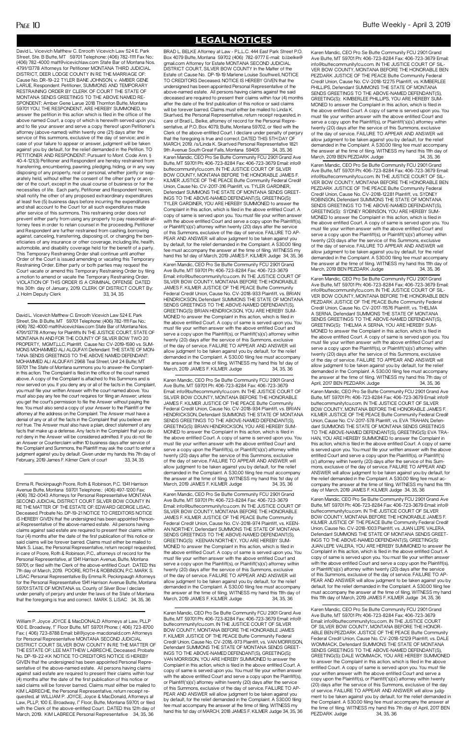PAGE 10 Butte Weekly - April 3, 2019

## **LEGAL NOTICES**

Karen Mandic, CEO Pro Se Butte Community FCU 2901 Grand Ave Butte, MT 59701 Ph: 406-723-8284 Fax: 406-723-3679 Email: info@ buttecommunityfcu.com. IN THE JUSTICE COURT OF SILVER BOW COUNTY, MONTANA BEFORE THE HONORABLE JAMES F. KILMER JUSTICE OF THE PEACE Butte Community Federal Credit Union, Cause No. CV-2018,-973 Plaintiff, vs. VAN MORRISON, Defendant SUMMONS THE STATE OF MONTANA SENDS GREET-INGS TO THE ABOVE-NAMED DEFENDANT(S), GREETING(S): VAN MORRISON, YOU ARE HEREBY SUMMONED to answer the Complaint in this action, which is filed in the above entitled Court. A copy of same is served upon you. You must file your written answer with the above entitled Court and serve a copy upon the Plaintiff(s), or Plaintiff('s)(s') attorney within twenty (20) days after the service of this Summons, exclusive of the day of service. FAILURE TO AP-PEAR AND ANSWER will allow judgment to be taken against you by default, for the relief demanded in the Complaint. A \$30.00 filing fee must accompany the answer at the time of filing. WITNESS my hand this 1st day of MARCH, 2018 JAMES F. KILMER Judge 34, 35, 36

Street, Ste. B Butte, MT 59701 Telephone: (406) 782-1111 Fax No.: (406) 782-4000 matt@vicevichlaw.com State Bar of Montana Nos. 4791/13778 Attorneys for Petitioner MONTANA THIRD JUDICIAL DISTRICT, DEER LODGE COUNTY IN RE THE MARRIAGE OF: Cause No. DR-19-22 TYLER BANE JOHNSON, v. AMBER GENE LARUE, Respondent. Petitioner, SUMMONS AND TEMPORARY RESTRAINING ORDER BY CLERK OF COURT THE STATE OF MONTANA SENDS GREETINGS TO THE ABOVE NAMED RE-SPONDENT: Amber Gene Larue 2018 Thornton Butte, Montana 59701 YOU, THE RESPONDENT, ARE HEREBY SUMMONED, to answer the petition in this action which is filed in the office of the above named Court, a copy of which is herewith served upon you, and to file your answer and serve a copy thereof upon Petitioner's attorney (above-named) within twenty one (21) days after the service of this summons, exclusive of the day of service; and in case of your failure to appear or answer, judgment will be taken against you by default, for the relief demanded in the Petition. TO PETITIONER AND RESPONDENT: Pursuant to Mont. Code Ann. § 40-4-121(3) Petitioner and Respondent are hereby restrained from transferring, encumbering, pawning, pledging, hiding, or in any way disposing of any property, real or personal, whether jointly or separately held, without either the consent of the other party or an order of the court, except in the usual course of business or for the necessities of life. Each party, Petitioner and Respondent herein, shall notify the other of any proposed extraordinary expenditures at least five (5) business days before incurring the expenditures and shall account to the Court for all such expenditures made after service of this summons. This restraining order does not prevent either party from using any property to pay reasonable attorney fees in order to retain counsel in the proceeding. Petitioner and Respondent are further restrained from cashing, borrowing against, canceling, transferring, disposing of, or changing the beneficiaries of any insurance or other coverage, including life, health, automobile, and disability coverage held for the benefit of a party. This Temporary Restraining Order shall continue until another Order of the Court is issued amending or vacating this Temporary Restraining Order. Either party or both parties may request the Court vacate or amend this Temporary Restraining Order by filing a motion to amend or vacate the Temporary Restraining Order. VIOLATION OF THIS ORDER IS A CRIMINAL OFFENSE DATED this 30th day of January, 2019. CLERK OF DISTRICT COURT By: J. Holm Deputy Clerk 33, 34, 35

David L. Vicevich Matthew C. Enrooth Vicevich Law 524 E. Park

Karen Mandic, CEO Pro Se Butte Community FCU 2901 Grand Ave Butte, MT 59701 Ph: 406-723-8284 Fax: 406-723-3679 Email: info@buttecommunityfcu.com. IN THE JUSTICE COURT OF SILVER BOW COUNTY, MONTANA BEFORE THE HONORABLE JAMES F. KILMER JUSTICE OF THE PEACE Butte Community Federal Credit Union, Cause No. CV-2018-933 Plaintiff, vs. BRIAN HENDRICKSON, Defendant SUMMONS THE STATE OF MONTANA SENDS GREETINGS TO THE ABOVE-NAMED DEFENDANT(S), GREETING(S): BRIAN HENDRICKSON, YOU ARE HEREBY SUM-MONED to answer the Complaint in this action, which is filed in the above entitled Court. A copy of same is served upon you. You must file your written answer with the above entitled Court and serve a copy upon the Plaintiff(s), or Plaintiff('s)(s') attorney within twenty (20) days after the service of this Summons, exclusive of the day of service. FAILURE TO APPEAR AND ANSWER will allow judgment to be taken against you by default, for the relief demanded in the Complaint. A \$30.00 filing fee must accompany the answer at the time of filing. WITNESS my hand this 1st day of March, 2019 JAMES F. KILMER Judge 34, 35, 36

David L. Vicevich Matthew C. Enrooth Vicevich Law 524 E. Park Street, Ste. B Butte, MT 59701 Telephone: (406) 782-1111 Fax No.: (406) 782-4000 matt@vicevichlaw.com State Bar of Montana Nos. 4791/13778 Attorney for Plaintiffs IN THE JUSTICE COURT, STATE OF MONTANA IN AND FOR THE COUNTY OF SILVER BOW TWO 20 PROPERTY, MGMT,LLC, Plaintiff, Cause No: CV-2019-1590 vs. SUM-MONS MOHAMMED ALI ALQUFAYI Defendant. THE STATE OF MON-TANA SENDS GREETINGS TO THE ABOVE NAMED DEFENDANT: MOHAMMED ALI ALQUFAYI 2968 Teal Street, Unit 24 Butte; MT 59701 The State of Montana summons you to answer-the Complaintin this action. The Complaint is filed in the office of the court named above. A copy of the Complaint is attached to this Summons and is now served on you. If you deny any or all of the facts in the. Complaint, you must file your written Answer with the court named above. You must also pay any fee the court requires for filing an Answer; unless you get the court's permission to file the Answer without paying the fee. You must also send a copy of your Answer to the Plaintiff or the attorney at the address on the Complaint. The Answer must have a denial of any or all of the facts in the Complaint that you believe are not true. The Answer must also have a plain, direct statement of any facts that make up a defense. Any facts in the Complaint that you do not deny in the Answer will be considered admitted. If you do not file an Answer or Counterclaim within 10 business days after service of the Complaint and Summons, the Plaintiff may ask the court to enter a judgment against you by default. Given under my hands this 7th day of February, 2019 James F. Kilmer Clerk of court 33, 34, 35

Karen Mandic, CEO Pro Se Butte Community FCU 2901 Grand Ave Butte, MT 59701 Ph: 406-723-8284 Fax: 406-723-3679 Email: info@buttecommunityfcu.com. IN THE JUSTICE COURT OF SILVER BOW COUNTY, MONTANA BEFORE THE HONORABLE JAMES F. KILMER JUSTICE OF THE PEACE Butte Community Federal Credit Union, Cause No. CV-2018-934 Plaintiff, vs. BRIAN HENDRICKSON, Defendant SUMMONS THE STATE OF MONTANA SENDS GREETINGS TO THE ABOVE-NAMED DEFENDANT(S), GREETING(S): BRIAN HENDRICKSON, YOU ARE HEREBY SUM-MONED to answer the Complaint in this action, which is filed in the above entitled Court. A copy of same is served upon you. You must file your written answer with the above entitled Court and serve a copy upon the Plaintiff(s), or Plaintiff('s)(s') attorney within twenty (20) days after the service of this Summons, exclusive of the day of service. FAILURE TO APPEAR AND ANSWER will allow judgment to be taken against you by default, for the relief demanded in the Complaint. A \$30.00 filing fee must accompany the answer at the time of filing. WITNESS my hand this 1st day of March, 2019 JAMES F. KILMER Judge 34, 35, 36

Karen Mandic, CEO Pro Se Butte Community FCU 2901 Grand Ave Butte, MT 59701 Ph: 406-723-8284 Fax: 406-723-3679 Email: info@buttecommunityfcu.com. IN THE JUSTICE COURT OF SILVER BOW COUNTY, MONTANA BEFORE THE HONORABLE JAMES F. KILMER JUSTICE OF THE PEACE Butte Community Federal Credit Union, Cause No. CV-2018-974 Plaintiff, vs. KFFN-AN NORTHEY, Defendant SUMMONS THE STATE OF MONTANA SENDS GREETINGS TO THE ABOVE-NAMED DEFENDANT(S), GREETING(S): KEENAN NORTHEY, YOU ARE HEREBY SUM-MONED to answer the Complaint in this action, which is filed in the above entitled Court. A copy of same is served upon you. You must file your written answer with the above entitled Court and serve a copy upon the Plaintiff(s), or Plaintiff('s)(s') attorney within twenty (20) days after the service of this Summons, exclusive of the day of service. FAILURE TO APPEAR AND ANSWER will allow judgment to be taken against you by default, for the relief demanded in the Complaint. A \$30.00 filing fee must accompany the answer at the time of filing. WITNESS my hand this 11th day of March, 2019 JAMES F. KILMER Judge 34, 35, 36

Emma R. Peckinpaugh Poore, Roth & Robinson, P.C. 1341 Harrison Avenue Butte, Montana 59701 Telephone.: (406) 497-1200 Fax: (406) 782-0043 Attorneys for Personal Representative MONTANA SECOND JUDICIAL DISTRICT COURT SILVER BOW COUNTY IN RE THE MATTER OF THE ESTATE OF: EDWARD GEORGE LISAC, Deceased. Probate No. DP-19-21 NOTICE TO CREDITORS NOTICE IS HEREBY GIVEN that the undersigned has been appointed Personal Representative of the above-named estate. All persons having claims against said estate are required to present their claims within four (4) months after the date of the first publication of this notice or  $s$  will be forever barred. Claims must either Mark S. Lisac, the Personal Representative, return receipt requested, in care of Poore, Roth & Robinson, P.C., attorneys of record for the Personal Representative, at 1341 Harrison Avenue, Butte, Montana 59701, or filed with the Clerk of the above-entitled Court. DATED this 7th day of March, 2019. POORE, ROTH & ROBINSON, P.C. MARK S. LISAC Personal Representative By Emma R. Peckinpaugh Attorneys for the Personal Representative 1341 Harrison Avenue Butte, Montana 59701 STATE OF MONTANA ss. County of Silver Bow I declare under penalty of perjury and under the laws of the State of Montana that the foregoing is true and correct. MARK S. LISAC 34, 35, 36

Karen Mandic, CEO Pro Se Butte Community FCU 2901 Grand Ave Butte, MT 59701 Ph: 406-723-8284 Fax: 406-723-3679 Email: info@buttecommunityfcu.com. IN THE JUSTICE COURT OF SIL-VER BOW COUNTY, MONTANA BEFORE THE HONORABLE BEN PEZDARK JUSTICE OF THE PEACE Butte Community Federal Credit Union, Cause No. CV-2018-12275 Plaintiff, vs. KIMBERLEE PHILLIPS, Defendant SUMMONS THE STATE OF MONTANA SENDS GREETINGS TO THE ABOVE-NAMED DEFENDANT(S), GREETING(S): KIMBERLEE PHILLIPS, YOU ARE HEREBY SUM-MONED to answer the Complaint in this action, which is filed in the above entitled Court. A copy of same is served upon you. You must file your written answer with the above entitled Court and serve a copy upon the Plaintiff(s), or Plaintiff('s)(s') attorney within twenty (20) days after the service of this Summons, exclusive of the day of service. FAILURE TO APPEAR AND ANSWER will allow judgment to be taken against you by default, for the relief demanded in the Complaint. A \$30.00 filing fee must accompany the answer at the time of filing. WITNESS my hand this 11th day of March, 2019 BEN PEZDARK Judge 34, 35, 36

Karen Mandic, CEO Pro Se Butte Community FCU 2901 Grand Ave Butte, MT 59701 Ph: 406-723-8284 Fax: 406-723-3679 Email: info@buttecommunityfcu.com. IN THE JUSTICE COURT OF SIL-VER BOW COUNTY, MONTANA BEFORE THE HONORABLE BEN PEZDARK JUSTICE OF THE PEACE Butte Community Federal Credit Union, Cause No. CV-2018-12281 Plaintiff, vs. SYDNEY ROBINSON, Defendant SUMMONS THE STATE OF MONTANA SENDS GREETINGS TO THE ABOVE-NAMED DEFENDANT(S), GREETING(S): SYDNEY ROBINSON, YOU ARE HEREBY SUM-MONED to answer the Complaint in this action, which is filed in the above entitled Court. A copy of same is served upon you. You must file your written answer with the above entitled Court and serve a copy upon the Plaintiff(s), or Plaintiff('s)(s') attorney within twenty (20) days after the service of this Summons, exclusive of the day of service. FAILURE TO APPEAR AND ANSWER will allow judgment to be taken against you by default, for the relief demanded in the Complaint. A \$30.00 filing fee must accompany the answer at the time of filing. WITNESS my hand this 11th day of March, 2019 BEN PEZDARK Judge 34, 35, 36

Karen Mandic, CEO Pro Se Butte Community FCU 2901 Grand Ave Butte, MT 59701 Ph: 406-723-8284 Fax: 406-723-3679 Email: info@buttecommunityfcu.com. IN THE JUSTICE COURT OF SIL-VER BOW COUNTY, MONTANA BEFORE THE HONORABLE BEN PEZDARK JUSTICE OF THE PEACE Butte Community Federal Credit Union, Cause No. CV-2017-11576 Plaintiff, vs. THELMA A SERNA, Defendant SUMMONS THE STATE OF MONTANA SENDS GREETINGS TO THE ABOVE-NAMED DEFENDANT(S), GREETING(S): THELMA A SERNA, YOU ARE HEREBY SUM-MONED to answer the Complaint in this action, which is filed in the above entitled Court. A copy of same is served upon you. You must file your written answer with the above entitled Court and serve a copy upon the Plaintiff(s), or Plaintiff('s)(s') attorney within twenty (20) days after the service of this Summons, exclusive of the day of service. FAILURE TO APPEAR AND ANSWER will allow judgment to be taken against you by default, for the relief demanded in the Complaint. A \$30.00 filing fee must accompany the answer at the time of filing. WITNESS my hand this 7th day of April, 2017 BEN PEZDARK Judge 34, 35, 36

BRAD L. BELKE Attorney at Law - P.L.L.C. 444 East Park Street P.O. Box 4079 Butte, Montana 59702 (406) 782-9777 E-mail: b.l.belke@ gmail.com Attorney for Estate MONTANA SECOND JUDICIAL DISTRICT COURT, SILVER BOW COUNTY In the Matter of the Estate of: Cause No. DP-19-19 Marlene Louise Southwell, NOTICE TO CREDITORS Deceased. NOTICE IS HEREBY GIVEN that the undersigned has been appointed Personal Representative of the above-named estate. All persons having claims against the said deceased are required to present their claims within four (4) months after the date of the first publication of this notice or said claims will be forever barred. Claims must either be mailed to Linda K. Skartved, the Personal Representative, return receipt requested, in care of Brad L. Belke, attorney of record for the Personal Representative, at P.O. Box 4079, Butte, Montana 59702, or filed with the Clerk of the above-entitled Court. I declare under penalty of perjury that the foregoing is true and correct. DATED THIS 5TH DAY OF MARCH, 2019. /s/Linda K. Skartved Personal Representative 1821 9th Avenue South Great Falls, Montana 59405 34, 35, 36 Karen Mandic, CEO Pro Se Butte Community FCU 2901 Grand Ave Butte, MT 59701 Ph: 406-723-8284 Fax: 406-723-3679 Email: info@ buttecommunityfcu.com. IN THE JUSTICE COURT OF SILVER BOW COUNTY, MONTANA BEFORE THE HONORABLE JAMES F. KILMER JUSTICE OF THE PEACE Butte Community Federal Credit Union, Cause No. CV-2017-316 Plaintiff, vs. TYLER GARDINER, Defendant SUMMONS THE STATE OF MONTANA SENDS GREET-INGS TO THE ABOVE-NAMED DEFENDANT(S), GREETING(S): TYLER GARDINER, YOU ARE HEREBY SUMMONED to answer the Complaint in this action, which is filed in the above entitled Court. A copy of same is served upon you. You must file your written answer with the above entitled Court and serve a copy upon the Plaintiff(s), or Plaintiff('s)(s') attorney within twenty (20) days after the service of this Summons, exclusive of the day of service. FAILURE TO AP-PEAR AND ANSWER will allow judgment to be taken against you by default, for the relief demanded in the Complaint. A \$30.00 filing fee must accompany the answer at the time of filing. WITNESS my hand this 1st day of March, 2019 JAMES F. KILMER Judge 34, 35, 36

> Karen Mandic, CEO Pro Se Butte Community FCU 2901 Grand Ave Butte, MT 59701 Ph: 406-723-8284 Fax: 406-723-3679 Email: info@buttecommunityfcu.com. IN THE JUSTICE COURT OF SILVER BOW COUNTY, MONTANA BEFORE THE HONOR-ABLE BEN PEZDARK JUSTICE OF THE PEACE Butte Community Federal Credit Union, Cause No. CV-2018-12129 Plaintiff, vs. DALE WOMMACK, Defendant SUMMONS THE STATE OF MONTANA SENDS GREETINGS TO THE ABOVE-NAMED DEFENDANT(S), GREETING(S): DALE WOMMACK, YOU ARE HEREBY SUMMONED to answer the Complaint in this action, which is filed in the above entitled Court. A copy of same is served upon you. You must file your written answer with the above entitled Court and serve a copy upon the Plaintiff(s), or Plaintiff('s)(s') attorney within twenty (20) days after the service of this Summons, exclusive of the day of service. FAILURE TO APPEAR AND ANSWER will allow judgment to be taken against you by default, for the relief demanded in the Complaint. A \$30.00 filing fee must accompany the answer at the time of filing. WITNESS my hand this 7th day of April, 2017 BEN PEZDARK Judge 34, 35, 36

> Karen Mandic, CEO Pro Se Butte Community FCU 2901 Grand Ave Butte, MT 59701 Ph: 406-723-8284 Fax: 406-723-3679 Email: info@ buttecommunityfcu.com. IN THE JUSTICE COURT OF SILVER BOW COUNTY, MONTANA BEFORE THE HONORABLE JAMES F. KILMER JUSTICE OF THE PEACE Butte Community Federal Credit Union, Cause No. CV-2017-578 Plaintiff, vs. EVA TRAHAN, Defendant SUMMONS THE STATE OF MONTANA SENDS GREETINGS TO THE ABOVE-NAMED DEFENDANT(S), GREETING(S): EVA TRA-HAN, YOU ARE HEREBY SUMMONED to answer the Complaint in this action, which is filed in the above entitled Court. A copy of same is served upon you. You must file your written answer with the above entitled Court and serve a copy upon the Plaintiff(s), or Plaintiff('s) (s') attorney within twenty (20) days after the service of this Summons, exclusive of the day of service. FAILURE TO APPEAR AND ANSWER will allow judgment to be taken against you by default, for the relief demanded in the Complaint. A \$30.00 filing fee must accompany the answer at the time of filing. WITNESS my hand this 11th day of March, 2019 JAMES F. KILMER Judge 34, 35, 36

Karen Mandic, CEO Pro Se Butte Community FCU 2901 Grand Ave Butte, MT 59701 Ph: 406-723-8284 Fax: 406-723-3679 Email: info@ buttecommunityfcu.com. IN THE JUSTICE COURT OF SILVER BOW COUNTY, MONTANA BEFORE THE HONORABLE JAMES F. KILMER JUSTICE OF THE PEACE Butte Community Federal Credit Union, Cause No. CV-2018-1003 Plaintiff, vs. JUAN LEPE VALERA, Defendant SUMMONS THE STATE OF MONTANA SENDS GREET-INGS TO THE ABOVE-NAMED DEFENDANT(S), GREETING(S): JUAN LEPE VALERA, YOU ARE HEREBY SUMMONED to answer the Complaint in this action, which is filed in the above entitled Court. A copy of same is served upon you. You must file your written answer with the above entitled Court and serve a copy upon the Plaintiff(s), or Plaintiff('s)(s') attorney within twenty (20) days after the service of this Summons, exclusive of the day of service. FAILURE TO AP-PEAR AND ANSWER will allow judgment to be taken against you by default, for the relief demanded in the Complaint. A \$30.00 filing fee must accompany the answer at the time of filing. WITNESS my hand this 11th day of March, 2019 JAMES F. KILMER Judge 34, 35, 36

William P. Joyce JOYCE & MacDONALD Attorneys at Law, PLLP 100 E. Broadway, 1" Floor Butte, MT 59701 Phone: ( 406) 723-8700 Fax: ( 406) 723-8788 Email: bill@joyce-macdonald.com Attorneys for Personal Representative MONTANA SECOND JUDICIAL DISTRICT COURT SILVER BOW COUNTY IN RE THE MATTER OF THE ESTATE OF: LEE MATTHEW LABRECHE, Deceased. Probate No. DP-19-22-KK NOTICE TO CREDITORS NOTICE IS HEREBY GIVEN that the undersigned has been appointed Personal Representative of the above-named estate. All persons having claims against said estate are required to present their claims within four (4) months after the date of the first publication of this notice or said claims will be forever barred. Claims must either be mailed to KIM LABRECHE, the Personal Representative, return receipt requested, at WILLIAM P. JOYCE, Joyce & MacDonald, Attorneys at Law, PLLP, 100 E. Broadway, I'' Floor, Butte, Montana 59701, or filed with the Clerk of the above-entitled Court. DATED this 12th day of March, 2019. KIM LABRECE Personal Representative 34, 35, 36